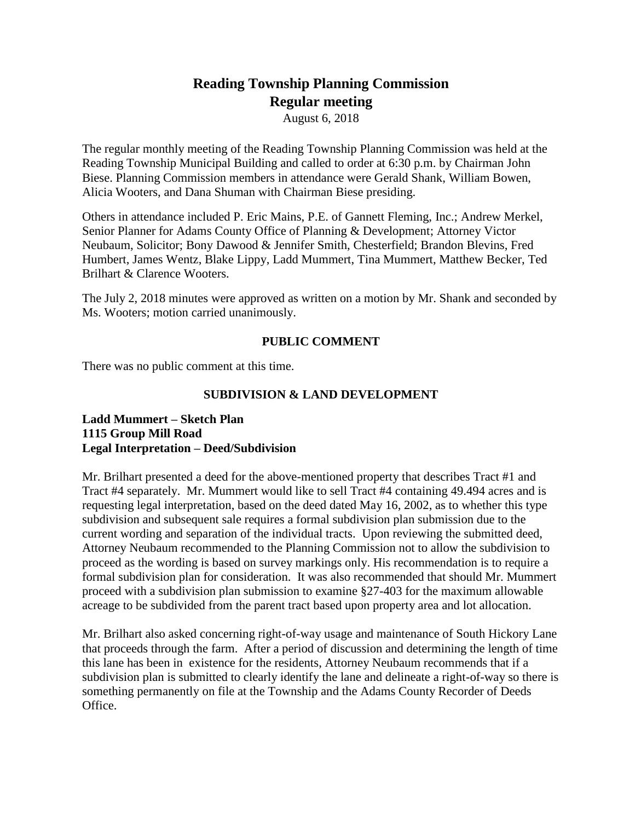# **Reading Township Planning Commission Regular meeting**

August 6, 2018

The regular monthly meeting of the Reading Township Planning Commission was held at the Reading Township Municipal Building and called to order at 6:30 p.m. by Chairman John Biese. Planning Commission members in attendance were Gerald Shank, William Bowen, Alicia Wooters, and Dana Shuman with Chairman Biese presiding.

Others in attendance included P. Eric Mains, P.E. of Gannett Fleming, Inc.; Andrew Merkel, Senior Planner for Adams County Office of Planning & Development; Attorney Victor Neubaum, Solicitor; Bony Dawood & Jennifer Smith, Chesterfield; Brandon Blevins, Fred Humbert, James Wentz, Blake Lippy, Ladd Mummert, Tina Mummert, Matthew Becker, Ted Brilhart & Clarence Wooters.

The July 2, 2018 minutes were approved as written on a motion by Mr. Shank and seconded by Ms. Wooters; motion carried unanimously.

# **PUBLIC COMMENT**

There was no public comment at this time.

# **SUBDIVISION & LAND DEVELOPMENT**

#### **Ladd Mummert – Sketch Plan 1115 Group Mill Road Legal Interpretation – Deed/Subdivision**

Mr. Brilhart presented a deed for the above-mentioned property that describes Tract #1 and Tract #4 separately. Mr. Mummert would like to sell Tract #4 containing 49.494 acres and is requesting legal interpretation, based on the deed dated May 16, 2002, as to whether this type subdivision and subsequent sale requires a formal subdivision plan submission due to the current wording and separation of the individual tracts. Upon reviewing the submitted deed, Attorney Neubaum recommended to the Planning Commission not to allow the subdivision to proceed as the wording is based on survey markings only. His recommendation is to require a formal subdivision plan for consideration. It was also recommended that should Mr. Mummert proceed with a subdivision plan submission to examine §27-403 for the maximum allowable acreage to be subdivided from the parent tract based upon property area and lot allocation.

Mr. Brilhart also asked concerning right-of-way usage and maintenance of South Hickory Lane that proceeds through the farm. After a period of discussion and determining the length of time this lane has been in existence for the residents, Attorney Neubaum recommends that if a subdivision plan is submitted to clearly identify the lane and delineate a right-of-way so there is something permanently on file at the Township and the Adams County Recorder of Deeds Office.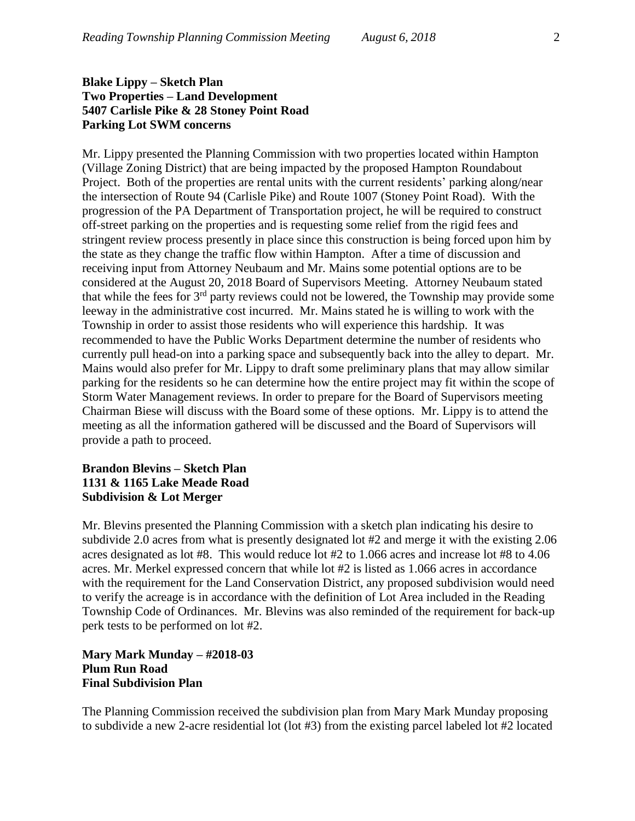# **Blake Lippy – Sketch Plan Two Properties – Land Development 5407 Carlisle Pike & 28 Stoney Point Road Parking Lot SWM concerns**

Mr. Lippy presented the Planning Commission with two properties located within Hampton (Village Zoning District) that are being impacted by the proposed Hampton Roundabout Project. Both of the properties are rental units with the current residents' parking along/near the intersection of Route 94 (Carlisle Pike) and Route 1007 (Stoney Point Road). With the progression of the PA Department of Transportation project, he will be required to construct off-street parking on the properties and is requesting some relief from the rigid fees and stringent review process presently in place since this construction is being forced upon him by the state as they change the traffic flow within Hampton. After a time of discussion and receiving input from Attorney Neubaum and Mr. Mains some potential options are to be considered at the August 20, 2018 Board of Supervisors Meeting. Attorney Neubaum stated that while the fees for  $3<sup>rd</sup>$  party reviews could not be lowered, the Township may provide some leeway in the administrative cost incurred. Mr. Mains stated he is willing to work with the Township in order to assist those residents who will experience this hardship. It was recommended to have the Public Works Department determine the number of residents who currently pull head-on into a parking space and subsequently back into the alley to depart. Mr. Mains would also prefer for Mr. Lippy to draft some preliminary plans that may allow similar parking for the residents so he can determine how the entire project may fit within the scope of Storm Water Management reviews. In order to prepare for the Board of Supervisors meeting Chairman Biese will discuss with the Board some of these options. Mr. Lippy is to attend the meeting as all the information gathered will be discussed and the Board of Supervisors will provide a path to proceed.

# **Brandon Blevins – Sketch Plan 1131 & 1165 Lake Meade Road Subdivision & Lot Merger**

Mr. Blevins presented the Planning Commission with a sketch plan indicating his desire to subdivide 2.0 acres from what is presently designated lot #2 and merge it with the existing 2.06 acres designated as lot #8. This would reduce lot #2 to 1.066 acres and increase lot #8 to 4.06 acres. Mr. Merkel expressed concern that while lot #2 is listed as 1.066 acres in accordance with the requirement for the Land Conservation District, any proposed subdivision would need to verify the acreage is in accordance with the definition of Lot Area included in the Reading Township Code of Ordinances. Mr. Blevins was also reminded of the requirement for back-up perk tests to be performed on lot #2.

# **Mary Mark Munday – #2018-03 Plum Run Road Final Subdivision Plan**

The Planning Commission received the subdivision plan from Mary Mark Munday proposing to subdivide a new 2-acre residential lot (lot #3) from the existing parcel labeled lot #2 located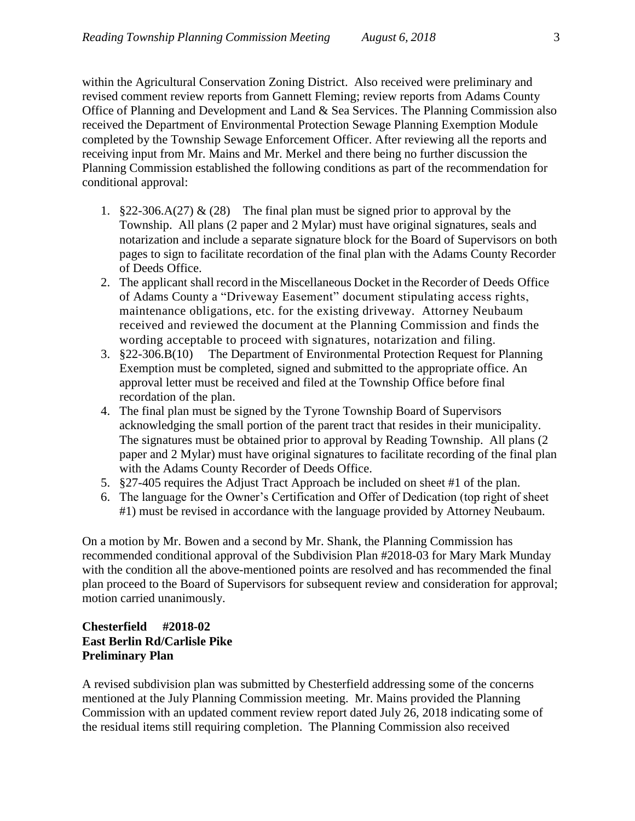within the Agricultural Conservation Zoning District. Also received were preliminary and revised comment review reports from Gannett Fleming; review reports from Adams County Office of Planning and Development and Land & Sea Services. The Planning Commission also received the Department of Environmental Protection Sewage Planning Exemption Module completed by the Township Sewage Enforcement Officer. After reviewing all the reports and receiving input from Mr. Mains and Mr. Merkel and there being no further discussion the Planning Commission established the following conditions as part of the recommendation for conditional approval:

- 1. §22-306.A(27) & (28) The final plan must be signed prior to approval by the Township. All plans (2 paper and 2 Mylar) must have original signatures, seals and notarization and include a separate signature block for the Board of Supervisors on both pages to sign to facilitate recordation of the final plan with the Adams County Recorder of Deeds Office.
- 2. The applicant shall record in the Miscellaneous Docket in the Recorder of Deeds Office of Adams County a "Driveway Easement" document stipulating access rights, maintenance obligations, etc. for the existing driveway. Attorney Neubaum received and reviewed the document at the Planning Commission and finds the wording acceptable to proceed with signatures, notarization and filing.
- 3. §22-306.B(10) The Department of Environmental Protection Request for Planning Exemption must be completed, signed and submitted to the appropriate office. An approval letter must be received and filed at the Township Office before final recordation of the plan.
- 4. The final plan must be signed by the Tyrone Township Board of Supervisors acknowledging the small portion of the parent tract that resides in their municipality. The signatures must be obtained prior to approval by Reading Township. All plans (2 paper and 2 Mylar) must have original signatures to facilitate recording of the final plan with the Adams County Recorder of Deeds Office.
- 5. §27-405 requires the Adjust Tract Approach be included on sheet #1 of the plan.
- 6. The language for the Owner's Certification and Offer of Dedication (top right of sheet #1) must be revised in accordance with the language provided by Attorney Neubaum.

On a motion by Mr. Bowen and a second by Mr. Shank, the Planning Commission has recommended conditional approval of the Subdivision Plan #2018-03 for Mary Mark Munday with the condition all the above-mentioned points are resolved and has recommended the final plan proceed to the Board of Supervisors for subsequent review and consideration for approval; motion carried unanimously.

# **Chesterfield #2018-02 East Berlin Rd/Carlisle Pike Preliminary Plan**

A revised subdivision plan was submitted by Chesterfield addressing some of the concerns mentioned at the July Planning Commission meeting. Mr. Mains provided the Planning Commission with an updated comment review report dated July 26, 2018 indicating some of the residual items still requiring completion. The Planning Commission also received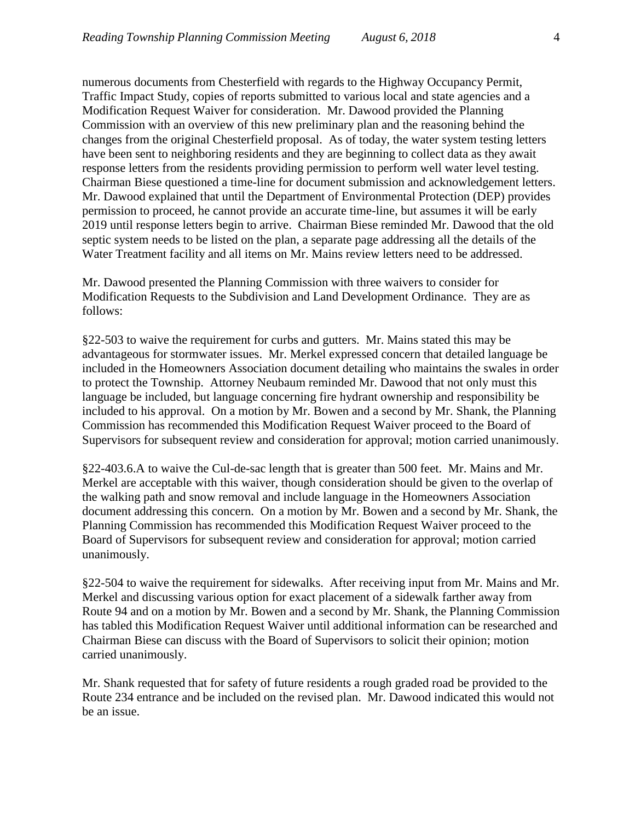numerous documents from Chesterfield with regards to the Highway Occupancy Permit, Traffic Impact Study, copies of reports submitted to various local and state agencies and a Modification Request Waiver for consideration. Mr. Dawood provided the Planning Commission with an overview of this new preliminary plan and the reasoning behind the changes from the original Chesterfield proposal. As of today, the water system testing letters have been sent to neighboring residents and they are beginning to collect data as they await response letters from the residents providing permission to perform well water level testing. Chairman Biese questioned a time-line for document submission and acknowledgement letters. Mr. Dawood explained that until the Department of Environmental Protection (DEP) provides permission to proceed, he cannot provide an accurate time-line, but assumes it will be early 2019 until response letters begin to arrive. Chairman Biese reminded Mr. Dawood that the old septic system needs to be listed on the plan, a separate page addressing all the details of the Water Treatment facility and all items on Mr. Mains review letters need to be addressed.

Mr. Dawood presented the Planning Commission with three waivers to consider for Modification Requests to the Subdivision and Land Development Ordinance. They are as follows:

§22-503 to waive the requirement for curbs and gutters. Mr. Mains stated this may be advantageous for stormwater issues. Mr. Merkel expressed concern that detailed language be included in the Homeowners Association document detailing who maintains the swales in order to protect the Township. Attorney Neubaum reminded Mr. Dawood that not only must this language be included, but language concerning fire hydrant ownership and responsibility be included to his approval. On a motion by Mr. Bowen and a second by Mr. Shank, the Planning Commission has recommended this Modification Request Waiver proceed to the Board of Supervisors for subsequent review and consideration for approval; motion carried unanimously.

§22-403.6.A to waive the Cul-de-sac length that is greater than 500 feet. Mr. Mains and Mr. Merkel are acceptable with this waiver, though consideration should be given to the overlap of the walking path and snow removal and include language in the Homeowners Association document addressing this concern. On a motion by Mr. Bowen and a second by Mr. Shank, the Planning Commission has recommended this Modification Request Waiver proceed to the Board of Supervisors for subsequent review and consideration for approval; motion carried unanimously.

§22-504 to waive the requirement for sidewalks. After receiving input from Mr. Mains and Mr. Merkel and discussing various option for exact placement of a sidewalk farther away from Route 94 and on a motion by Mr. Bowen and a second by Mr. Shank, the Planning Commission has tabled this Modification Request Waiver until additional information can be researched and Chairman Biese can discuss with the Board of Supervisors to solicit their opinion; motion carried unanimously.

Mr. Shank requested that for safety of future residents a rough graded road be provided to the Route 234 entrance and be included on the revised plan. Mr. Dawood indicated this would not be an issue.